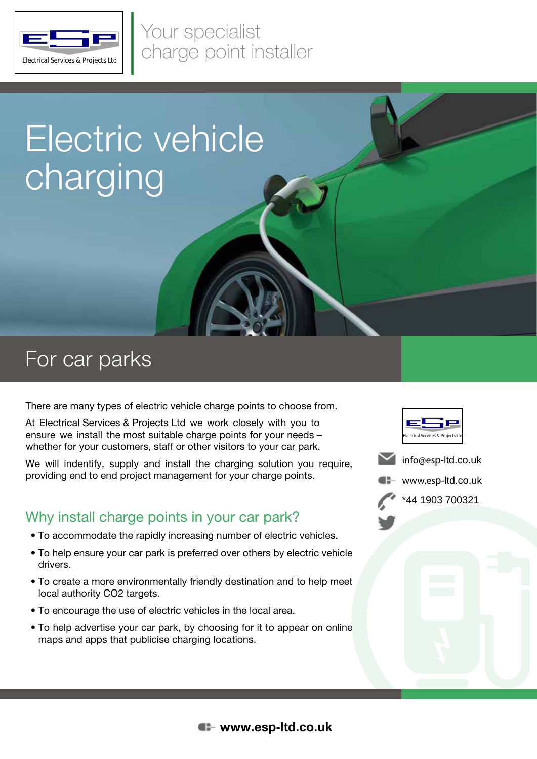

Your specialist ELAND Charge point installer

# Electric vehicle charging

### For car parks

There are many types of electric vehicle charge points to choose from.

At Electrical Services & Projects Ltd we work closely with you to ensure we install the most suitable charge points for your needs – whether for your customers, staff or other visitors to your car park.

We will indentify, supply and install the charging solution you require, providing end to end project management for your charge points.

### Why install charge points in your car park?

- To accommodate the rapidly increasing number of electric vehicles.
- To help ensure your car park is preferred over others by electric vehicle drivers.
- To create a more environmentally friendly destination and to help meet local authority CO2 targets.
- To encourage the use of electric vehicles in the local area.
- To help advertise your car park, by choosing for it to appear on online maps and apps that publicise charging locations.







\*44 1903 700321

### www.es**p-ltd.co.uk**